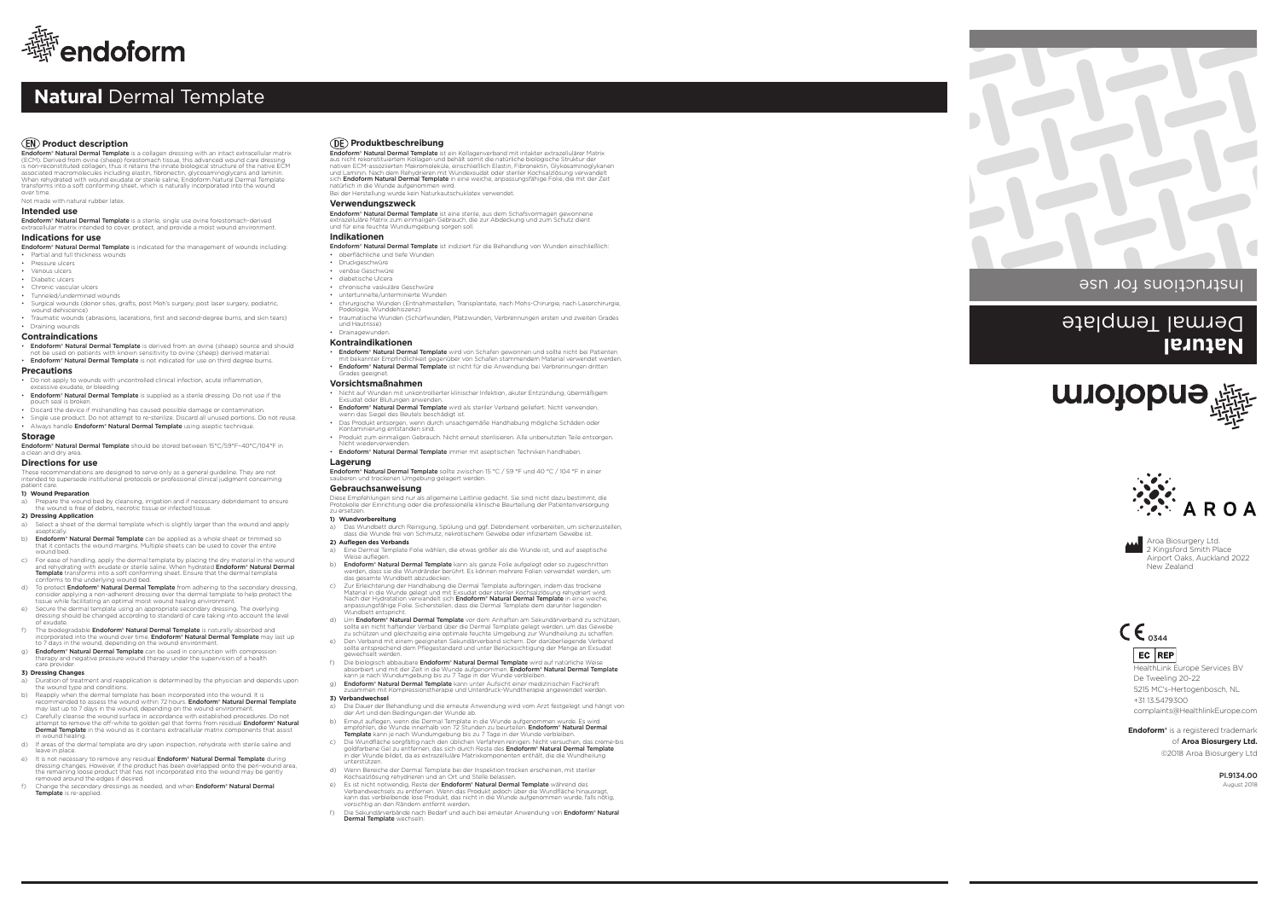**Endoform® Natural Dermal Template** is a collagen dressing with an intact extracellular matrix<br>(ECM). Derived from ovine (sheep) forestomach tissue, this advanced wound care dressing<br>is non-reconstituted collagen, thus it associated macromolecules including elastin, fibronectin, glycosaminoglycans and laminin. When rehydrated with wound exudate or sterile saline, Endoform Natural Dermal Template transforms into a soft conforming sheet, which is naturally incorporated into the wound over time.

Not made with natural rubber latex.

# **Intended use**

Endoform® Natural Dermal Template is a sterile, single use ovine forestomach-derived extracellular matrix intended to cover, protect, and provide a moist wound environment.

• **Endoform® Natural Dermal Template** is derived from an ovine (sheep) source and should not be used on patients with known sensitivity to ovine (sheep) derived material. • Endoform® Natural Dermal Template is not indicated for use on third degree burns.

- Do not apply to wounds with uncontrolled clinical infection, acute inflammation, excessive exudate, or bleeding
- Endoform® Natural Dermal Template is supplied as a sterile dressing. Do not use if the pouch seal is broken.
- Discard the device if mishandling has caused possible damage or contamination. • Single use product. Do not attempt to re-sterilize. Discard all unused portions. Do not reuse.
- Always handle Endoform® Natural Dermal Template using aseptic technique.

## **Indications for use**

Endoform® Natural Dermal Template is indicated for the management of wounds including: • Partial and full thickness wounds

- Pressure ulcers
- Venous ulcers
- Diabetic ulcers
- Chronic vascular ulcers
- Tunneled/undermined wounds
- Surgical wounds (donor sites, grafts, post Moh's surgery, post laser surgery, podiatric, wound dehiscence) • Traumatic wounds (abrasions, lacerations, first and second-degree burns, and skin tears)
- Draining wounds

**Contraindications**

### **Precautions**

- a) Duration of treatment and reapplication is determined by the physician and depends upon the wound type and conditions.
- b) Reapply when the dermal template has been incorporated into the wound. It is recommended to assess the wound within 72 hours. **Endoform® Natural Dermal Template**<br>may last up to 7 days in the wound, depending on the wound environment.
- c) Carefully cleanse the wound surface in accordance with established procedures. Do not attempt to remove the off-white to golden gel that forms from residual **Endoform® Natural**<br>**Dermal Template** in the wound as it contains extracellular matrix components that assist n wound healing.
- d) If areas of the dermal template are dry upon inspection, rehydrate with sterile saline and leave in place.
- e) It is not necessary to remove any residual **Endoform® Natural Dermal Template** during dressing changes. However, if the product has been overlapped onto the peri-wound area, the remaining loose product that has not incorporated into the wound may be gently removed around the edges if desired.
- f) Change the secondary dressings as needed, and when **Endoform® Natural Dermal** Template is re-applied.

### **Storage**

**Endoform® Natural Dermal Template** should be stored between 15°C/59°F-40°C/104°F in <br>a clean and dry area.

# **Directions for use**

These recommendations are designed to serve only as a general guideline. They are not intended to supersede institutional protocols or professional clinical judgment concerning patient care.

### **1) Wound Preparation**

a) Prepare the wound bed by cleansing, irrigation and if necessary debridement to ensure the wound is free of debris, necrotic tissue or infected tissue.

### **2) Dressing Application**

- a) Select a sheet of the dermal template which is slightly larger than the wound and apply
- aseptically.<br>**b) Endoform® Natural Dermal Template** can be applied as a whole sheet or trimmed so<br>that it contacts the wound margins. Multiple sheets can be used to cover the entire wound bed.
- c) For ease of handling, apply the dermal template by placing the dry material in the wound<br>and rehydrating with exudate or sterile saline. When hydrated **Endoform" Natural Dermal**<br>**Template** transforms into a soft conform
- d) To protect **Endoform® Natural Dermal Template** from adhering to the secondary dressing,<br>consider applying a non-adherent dressing over the dermal template to help protect the<br>tissue while facilitating an optimal moist w
- e) Secure the dermal template using an appropriate secondary dressing. The overlying dressing should be changed according to standard of care taking into account the level
- of exudate.
- f) The biodegradable **Endoform® Natural Dermal Template** is naturally absorbed and<br>incorporated into the wound over time. **Endoform® Natural Dermal Template** may last up<br>to 7 days in the wound, depending on the wound envir
- g) **Endoform® Natural Dermal Template** can be used in conjunction with compression therapy and negative pressure wound therapy under the supervision of a health care provider.
- Nicht auf Wunden mit unkontrollierter klinischer Infektion, akuter Entzündung, übermäßigem Exsudat oder Blutungen anwenden.
- Endoform® Natural Dermal Template wird als steriler Verband geliefert. Nicht verwenden, wenn das Siegel des Beutels beschädigt ist.
- Das Produkt entsorgen, wenn durch unsachgemäße Handhabung mögliche Schäden oder
- Kontaminierung entstanden sind. Produkt zum einmaligen Gebrauch. Nicht erneut sterilisieren. Alle unbenutzten Teile entsorgen. Nicht wiederverwenden. • Endoform® Natural Dermal Template immer mit aseptischen Techniken handhaben.

Endoform® Natural Dermal Template sollte zwischen 15 °C / 59 °F und 40 °C / 104 °F in einer sauberen und trockenen Umgebung gelagert werden.

### **3) Dressing Changes**

- a) Das Wundbett durch Reinigung, Spülung und ggf. Debridement vorbereiten, um sicherzustellen, dass die Wunde frei von Schmutz, nekrotischem Gewebe oder infiziertem Gewebe ist.
- **2) Auflegen des Verbands**
- a) Eine Dermal Template Folie wählen, die etwas größer als die Wunde ist, und auf aseptische Weise auflegen.
- b) Endoform® Natural Dermal Template kann als ganze Folie aufgelegt oder so zugeschnitten werden, dass sie die Wundränder berührt. Es können mehrere Folien verwendet werden, um das gesamte Wundbett abzudecken.
- c) Zur Erleichterung der Handhabung die Dermal Template aufbringen, indem das trockene Material in die Wunde gelegt und mit Exsudat oder steriler Kochsalzlösung rehydriert wird.<br>Nach der Hydratation verwandelt sich **Endoform® Natural Dermal Template** in eine weiche,<br>anpassungsfähige Folie. Sicherstellen, das
- d) Um Endoform® Natural Dermal Template vor dem Anhaften am Sekundärverband zu schützen sollte ein nicht haftender Verband über die Dermal Template gelegt werden, um das Gewebe zu schützen und gleichzeitig eine optimale feuchte Umgebung zur Wundheilung zu schaffen.
- e) Den Verband mit einem geeigneten Sekundärverband sichern. Der darüberliegende Verband<br>sollte entsprechend dem Pflegestandard und unter Berücksichtigung der Menge an Exsudat<br>gewechselt werden.
- f) Die biologisch abbaubare Endoform® Natural Dermal Template wird auf natürliche Weise absorbiert und mit der Zeit in die Wunde aufgenommen. **Endoform® Natural Dermal Template**<br>kann je nach Wundumgebung bis zu 7 Tage in der Wunde verbleiben.
- g) Endoform® Natural Dermal Template kann unter Aufsicht einer medizinischen Fachkraft zusammen mit Kompressionstherapie und Unterdruck-Wundtherapie ange
- **3) Verbandwechsel**
- a) Die Dauer der Behandlung und die erneute Anwendung wird vom Arzt festgelegt und hängt von der Art und den Bedingungen der Wunde ab.
- b) Erneut auflegen, wenn die Dermal Template in die Wunde aufgenommen wurde. Es wird<br>empfohlen, die Wunde innerhalb von 72 Stunden zu beurteilen. **Endoform\* Natural Dermal**<br>**Template** kann je nach Wundumgebung bis zu 7 Tag
- c) Die Wundfläche sorgfältig nach den üblichen Verfahren reinigen. Nicht versuchen, das creme-bis<br> goldfarbene Gel zu entfernen, das sich durch Reste des **Endoform° Natural Dermal Template**<br> in der Wunde bild
- unterstützen. d) Wenn Bereiche der Dermal Template bei der Inspektion trocken erscheinen, mit steriler
- Kochsalzlösung rehydrieren und an Ort und Stelle belassen. e) Es ist nicht notwendig, Reste der Endoform® Natural Dermal Template während des
- Verbandwechsels zu entfernen. Wenn das Produkt jedoch über die Wundfläche hinausragt, kann das verbleibende lose Produkt, das nicht in die Wunde aufgenommen wurde, falls nötig, vorsichtig an den Rändern entfernt werden.
- ff die Sekundärverbände nach Bedarf und auch bei erneuter Anwendung von Endoform® Natural Dermal Template wechseln.



# **Natural** Dermal Template

# *(EN)* Product description

# **Natural** Dermal Template







**Endoform®** is a registered trademark of **Aroa Biosurgery Ltd.** ©2018 Aroa Biosurgery Ltd

> PI.9134.00 August 2018

# **Produktbeschreibung**

**Endoform® Natural Dermal Template** ist ein Kollagenverband mit intakter extrazellulärer Matrix<br>aus nicht rekonstituiertem Kollagen und behält somit die natürliche biologische Struktur der<br>nativen ECM-assoziierten Makromol sich Endoform Natural Dermal Template in eine weiche, anpassungsfähige Folie, die mit der Zeit

natürlich in die Wunde aufgenommen wird. Bei der Herstellung wurde kein Naturkautschuklatex verwendet.

### **Verwendungszweck**

**Endoform® Natural Dermal Template** ist eine sterile, aus dem Schafsvormagen gewonnene<br>extrazelluläre Matrix zum einmaligen Gebrauch, die zur Abdeckung und zum Schutz dient<br>und für eine feuchte Wundumgebung sorgen soll.

### **Indikationen**

- Endoform® Natural Dermal Template ist indiziert für die Behandlung von Wunden einschließlich: • oberflächliche und tiefe Wunden
- Druckgeschwüre
- venöse Geschwüre
- diabetische Ulcera
- chronische vaskuläre Geschwüre
- untertunnelte/unterminierte Wunden
- chirurgische Wunden (Entnahmestellen, Transplantate, nach Mohs-Chirurgie, nach Laserchirurgie, Podologie, Wunddehiszenz)
- traumatische Wunden (Schürfwunden, Platzwunden, Verbrennungen ersten und zweiten Grades und Hautrisse)
- **Drainagewunde**

### **Kontraindikationen**

- Endoform® Natural Dermal Template wird von Schafen gewonnen und sollte nicht bei Patienten mit bekannter Empfindlichkeit gegenüber von Schafen stammendem Material verwendet werden.
- Endoform® Natural Dermal Template ist nicht für die Anwendung bei Verbrennungen dritten Grades geeignet.

### **Vorsichtsmaßnahmen**

# **Lagerung**

# **Gebrauchsanweisung**

Diese Empfehlungen sind nur als allgemeine Leitlinie gedacht. Sie sind nicht dazu bestimmt, die Protokolle der Einrichtung oder die professionelle klinische Beurteilung der Patientenversorgung zu ersetzen.

# **1) Wundvorbereitung**

Aroa Biosurgery Ltd. 2 Kingsford Smith Place Airport Oaks, Auckland 2022 New Zealand

HealthLink Europe Services BV De Tweeling 20-22 5215 MC's-Hertogenbosch, NL +31 13.5479300 complaints@HealthlinkEurope.com



EC REP